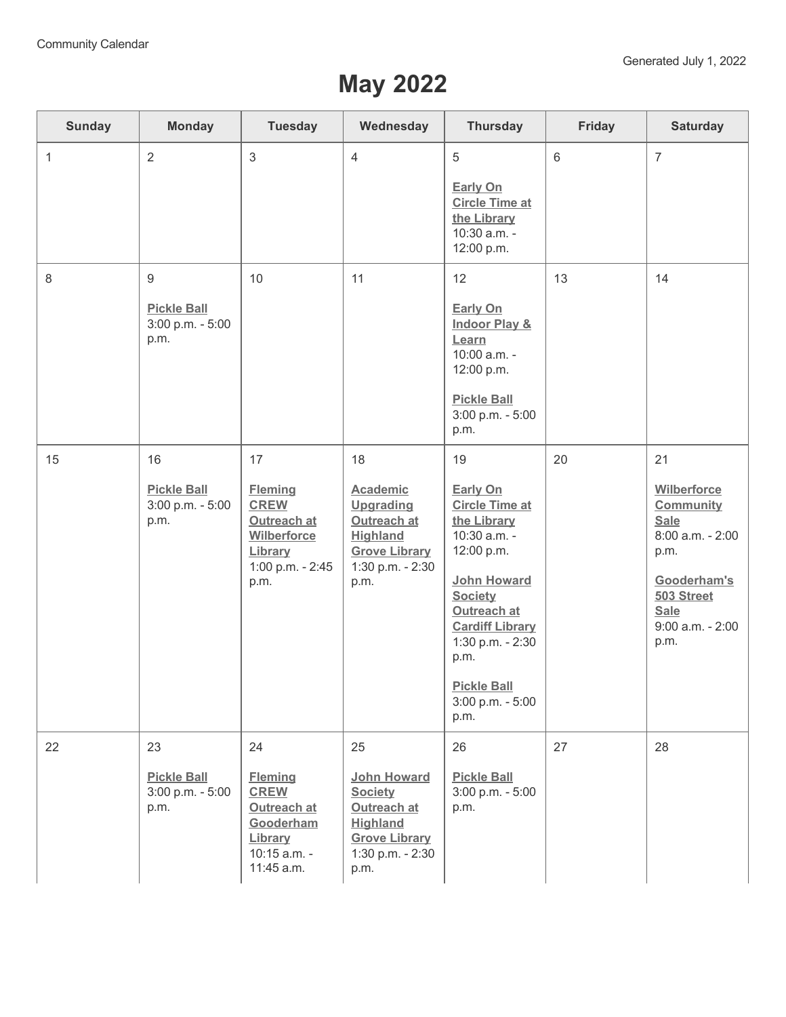## **May 2022**

| <b>Sunday</b> | <b>Monday</b>                                                      | <b>Tuesday</b>                                                                                           | Wednesday                                                                                                                       | <b>Thursday</b>                                                                                                                                                                                                                              | Friday          | <b>Saturday</b>                                                                                                                                              |
|---------------|--------------------------------------------------------------------|----------------------------------------------------------------------------------------------------------|---------------------------------------------------------------------------------------------------------------------------------|----------------------------------------------------------------------------------------------------------------------------------------------------------------------------------------------------------------------------------------------|-----------------|--------------------------------------------------------------------------------------------------------------------------------------------------------------|
| $\mathbf{1}$  | $\overline{2}$                                                     | 3                                                                                                        | $\overline{4}$                                                                                                                  | 5<br><b>Early On</b><br><b>Circle Time at</b><br>the Library<br>10:30 a.m. -<br>12:00 p.m.                                                                                                                                                   | $6\phantom{1}6$ | $\overline{7}$                                                                                                                                               |
| 8             | $\boldsymbol{9}$<br><b>Pickle Ball</b><br>3:00 p.m. - 5:00<br>p.m. | 10                                                                                                       | 11                                                                                                                              | 12<br><b>Early On</b><br><b>Indoor Play &amp;</b><br>Learn<br>10:00 a.m. -<br>12:00 p.m.<br><b>Pickle Ball</b><br>3:00 p.m. - 5:00<br>p.m.                                                                                                   | 13              | 14                                                                                                                                                           |
| 15            | 16<br><b>Pickle Ball</b><br>3:00 p.m. - 5:00<br>p.m.               | 17<br><b>Fleming</b><br><b>CREW</b><br>Outreach at<br>Wilberforce<br>Library<br>1:00 p.m. - 2:45<br>p.m. | 18<br><b>Academic</b><br><b>Upgrading</b><br>Outreach at<br><b>Highland</b><br><b>Grove Library</b><br>1:30 p.m. - 2:30<br>p.m. | 19<br>Early On<br><b>Circle Time at</b><br>the Library<br>10:30 a.m. -<br>12:00 p.m.<br>John Howard<br><b>Society</b><br>Outreach at<br><b>Cardiff Library</b><br>1:30 p.m. - 2:30<br>p.m.<br><b>Pickle Ball</b><br>3:00 p.m. - 5:00<br>p.m. | 20              | 21<br>Wilberforce<br><b>Community</b><br><b>Sale</b><br>8:00 a.m. - 2:00<br>p.m.<br>Gooderham's<br>503 Street<br><b>Sale</b><br>$9:00$ a.m. - $2:00$<br>p.m. |
| 22            | 23<br><b>Pickle Ball</b><br>3:00 p.m. - 5:00<br>p.m.               | 24<br><b>Fleming</b><br><b>CREW</b><br>Outreach at<br>Gooderham<br>Library<br>10:15 a.m. -<br>11:45 a.m. | 25<br>John Howard<br><b>Society</b><br>Outreach at<br><b>Highland</b><br><b>Grove Library</b><br>1:30 p.m. - 2:30<br>p.m.       | 26<br><b>Pickle Ball</b><br>3:00 p.m. - 5:00<br>p.m.                                                                                                                                                                                         | 27              | 28                                                                                                                                                           |